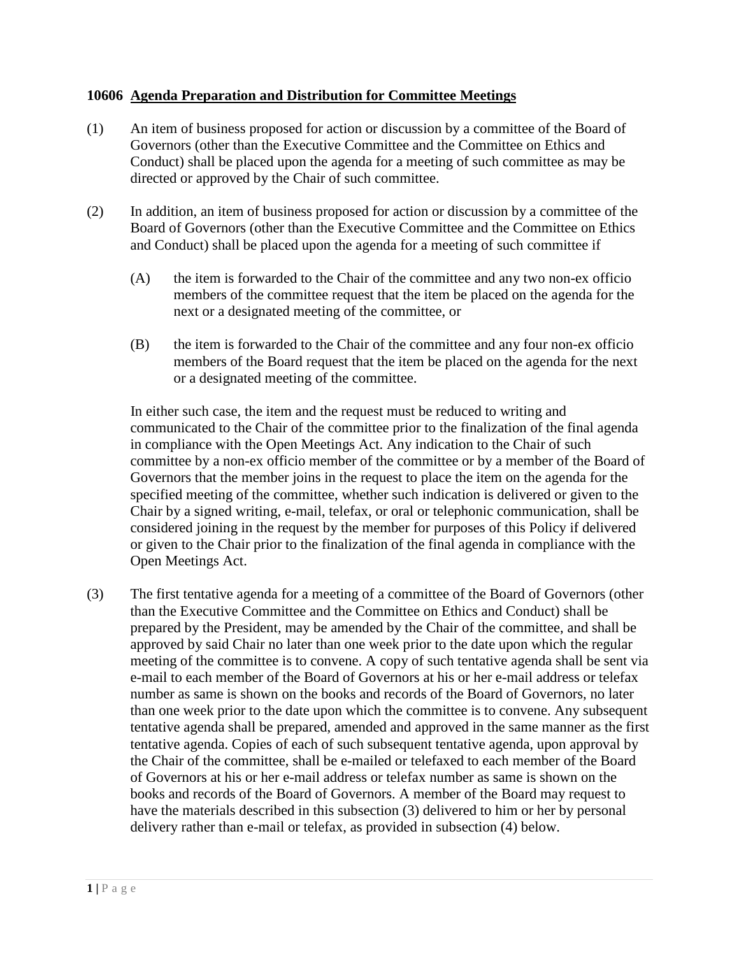## **10606 Agenda Preparation and Distribution for Committee Meetings**

- (1) An item of business proposed for action or discussion by a committee of the Board of Governors (other than the Executive Committee and the Committee on Ethics and Conduct) shall be placed upon the agenda for a meeting of such committee as may be directed or approved by the Chair of such committee.
- (2) In addition, an item of business proposed for action or discussion by a committee of the Board of Governors (other than the Executive Committee and the Committee on Ethics and Conduct) shall be placed upon the agenda for a meeting of such committee if
	- (A) the item is forwarded to the Chair of the committee and any two non-ex officio members of the committee request that the item be placed on the agenda for the next or a designated meeting of the committee, or
	- (B) the item is forwarded to the Chair of the committee and any four non-ex officio members of the Board request that the item be placed on the agenda for the next or a designated meeting of the committee.

In either such case, the item and the request must be reduced to writing and communicated to the Chair of the committee prior to the finalization of the final agenda in compliance with the Open Meetings Act. Any indication to the Chair of such committee by a non-ex officio member of the committee or by a member of the Board of Governors that the member joins in the request to place the item on the agenda for the specified meeting of the committee, whether such indication is delivered or given to the Chair by a signed writing, e-mail, telefax, or oral or telephonic communication, shall be considered joining in the request by the member for purposes of this Policy if delivered or given to the Chair prior to the finalization of the final agenda in compliance with the Open Meetings Act.

(3) The first tentative agenda for a meeting of a committee of the Board of Governors (other than the Executive Committee and the Committee on Ethics and Conduct) shall be prepared by the President, may be amended by the Chair of the committee, and shall be approved by said Chair no later than one week prior to the date upon which the regular meeting of the committee is to convene. A copy of such tentative agenda shall be sent via e-mail to each member of the Board of Governors at his or her e-mail address or telefax number as same is shown on the books and records of the Board of Governors, no later than one week prior to the date upon which the committee is to convene. Any subsequent tentative agenda shall be prepared, amended and approved in the same manner as the first tentative agenda. Copies of each of such subsequent tentative agenda, upon approval by the Chair of the committee, shall be e-mailed or telefaxed to each member of the Board of Governors at his or her e-mail address or telefax number as same is shown on the books and records of the Board of Governors. A member of the Board may request to have the materials described in this subsection (3) delivered to him or her by personal delivery rather than e-mail or telefax, as provided in subsection (4) below.